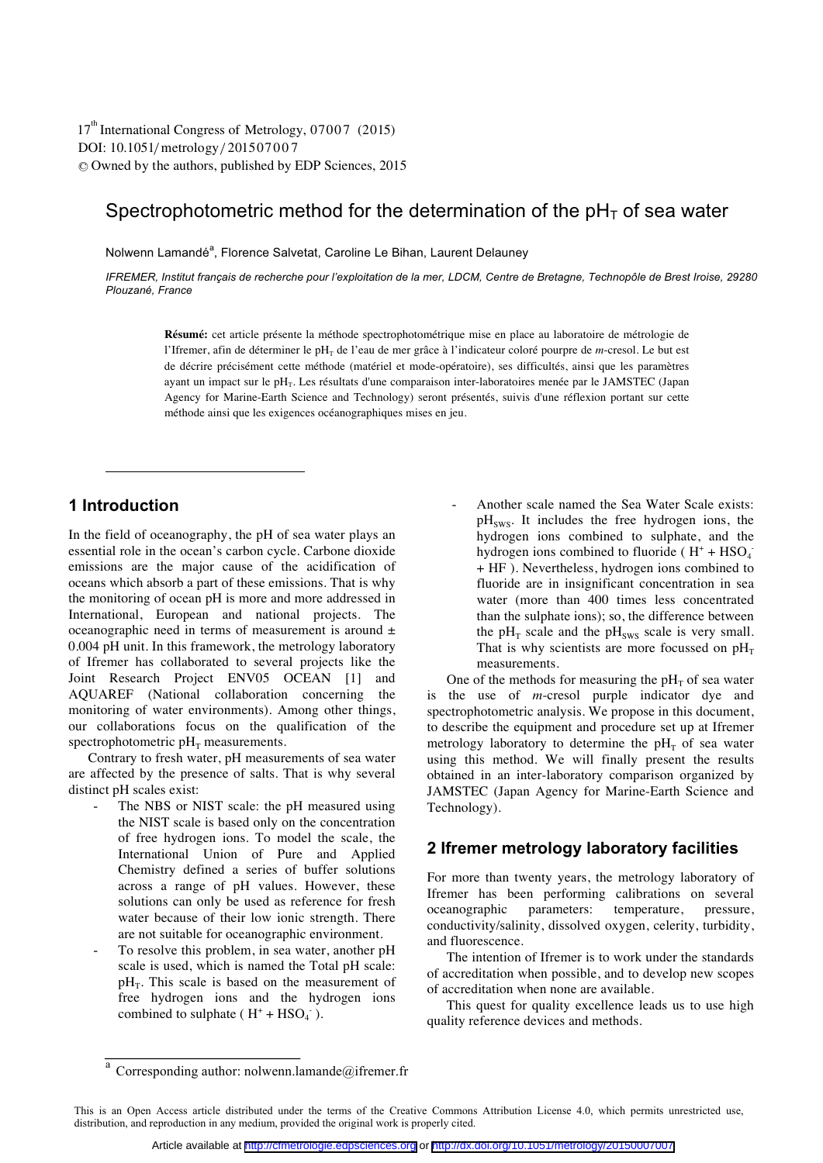DOI: 10.1051/metrology/201507007 -<sup>C</sup> Owned by the authors, published by EDP Sciences, 2015 17<sup>th</sup> International Congress of Metrology, 07007 (2015)

# Spectrophotometric method for the determination of the  $pH<sub>T</sub>$  of sea water

Nolwenn Lamandé<sup>a</sup>, Florence Salvetat, Caroline Le Bihan, Laurent Delaunev

*IFREMER, Institut français de recherche pour l'exploitation de la mer, LDCM, Centre de Bretagne, Technopôle de Brest Iroise, 29280 Plouzané, France* 

**Résumé:** cet article présente la méthode spectrophotométrique mise en place au laboratoire de métrologie de l'Ifremer, afin de déterminer le pH<sub>T</sub> de l'eau de mer grâce à l'indicateur coloré pourpre de *m*-cresol. Le but est de décrire précisément cette méthode (matériel et mode-opératoire), ses difficultés, ainsi que les paramètres ayant un impact sur le p $H_T$ . Les résultats d'une comparaison inter-laboratoires menée par le JAMSTEC (Japan Agency for Marine-Earth Science and Technology) seront présentés, suivis d'une réflexion portant sur cette méthode ainsi que les exigences océanographiques mises en jeu.

## **1 Introduction**

 $\overline{a}$ 

In the field of oceanography, the pH of sea water plays an essential role in the ocean's carbon cycle. Carbone dioxide emissions are the major cause of the acidification of oceans which absorb a part of these emissions. That is why the monitoring of ocean pH is more and more addressed in International, European and national projects. The oceanographic need in terms of measurement is around  $\pm$ 0.004 pH unit. In this framework, the metrology laboratory of Ifremer has collaborated to several projects like the Joint Research Project ENV05 OCEAN [1] and AQUAREF (National collaboration concerning the monitoring of water environments). Among other things, our collaborations focus on the qualification of the spectrophotometric  $pH_T$  measurements.

Contrary to fresh water, pH measurements of sea water are affected by the presence of salts. That is why several distinct pH scales exist:

- The NBS or NIST scale: the pH measured using the NIST scale is based only on the concentration of free hydrogen ions. To model the scale, the International Union of Pure and Applied Chemistry defined a series of buffer solutions across a range of pH values. However, these solutions can only be used as reference for fresh water because of their low ionic strength. There are not suitable for oceanographic environment.
- To resolve this problem, in sea water, another pH scale is used, which is named the Total pH scale:  $pH_T$ . This scale is based on the measurement of free hydrogen ions and the hydrogen ions combined to sulphate ( $H^+$  +  $HSO_4^-$ ).

Another scale named the Sea Water Scale exists:  $pH<sub>sws</sub>$ . It includes the free hydrogen ions, the hydrogen ions combined to sulphate, and the hydrogen ions combined to fluoride ( $H^+ + HSO_4^-$ + HF ). Nevertheless, hydrogen ions combined to fluoride are in insignificant concentration in sea water (more than 400 times less concentrated than the sulphate ions); so, the difference between the  $pH_T$  scale and the  $pH_{sws}$  scale is very small. That is why scientists are more focussed on  $pH_T$ measurements.

One of the methods for measuring the  $pH<sub>T</sub>$  of sea water is the use of *m*-cresol purple indicator dye and spectrophotometric analysis. We propose in this document, to describe the equipment and procedure set up at Ifremer metrology laboratory to determine the  $pH<sub>T</sub>$  of sea water using this method. We will finally present the results obtained in an inter-laboratory comparison organized by JAMSTEC (Japan Agency for Marine-Earth Science and Technology).

## **2 Ifremer metrology laboratory facilities**

For more than twenty years, the metrology laboratory of Ifremer has been performing calibrations on several oceanographic parameters: temperature, pressure, conductivity/salinity, dissolved oxygen, celerity, turbidity, and fluorescence.

The intention of Ifremer is to work under the standards of accreditation when possible, and to develop new scopes of accreditation when none are available.

This quest for quality excellence leads us to use high quality reference devices and methods.

 $a$  Corresponding author: nolwenn.lamande@ifremer.fr

This is an Open Access article distributed under the terms of the Creative Commons Attribution License 4.0, which permits unrestricted use, distribution, and reproduction in any medium, provided the original work is properly cited.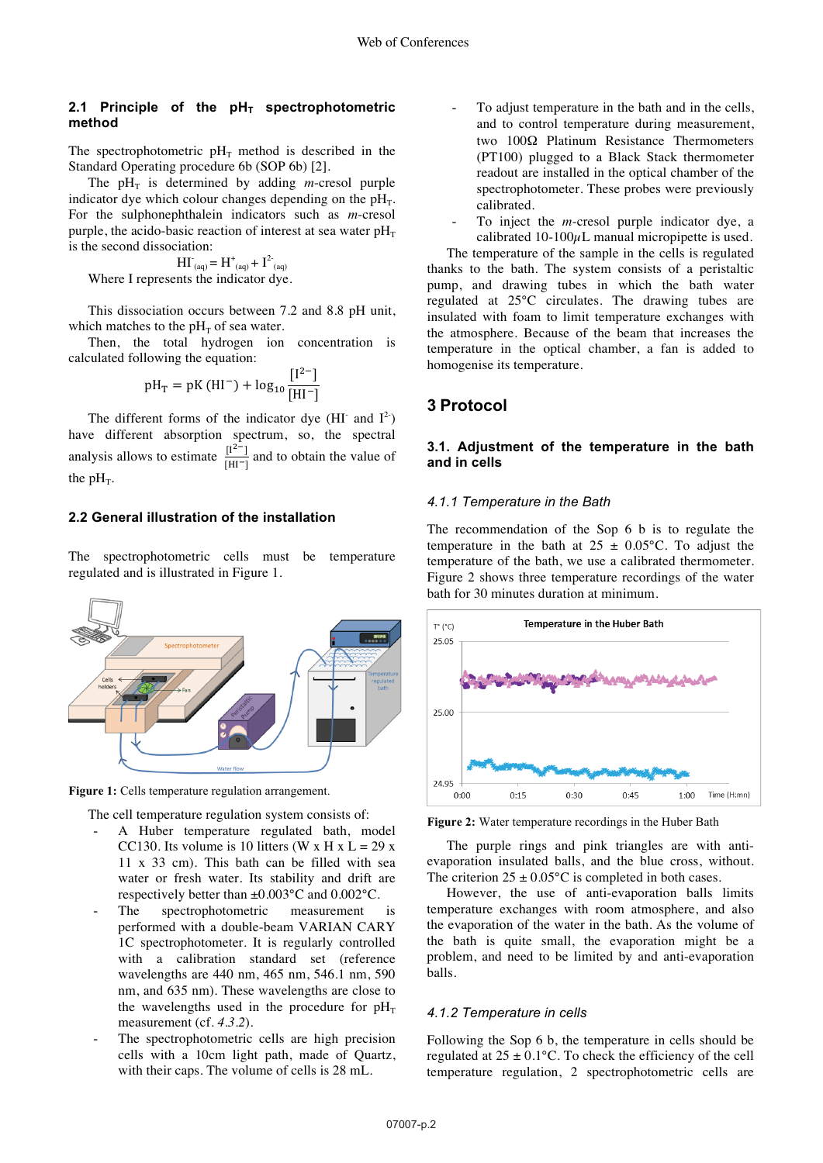### 2.1 Principle of the  $pH<sub>T</sub>$  spectrophotometric **method**

The spectrophotometric  $pH_T$  method is described in the Standard Operating procedure 6b (SOP 6b) [2].

The  $pH_T$  is determined by adding *m*-cresol purple indicator dye which colour changes depending on the  $pH<sub>T</sub>$ . For the sulphonephthalein indicators such as *m*-cresol purple, the acido-basic reaction of interest at sea water  $pH_T$ is the second dissociation:

 $\text{H}\Gamma_{\text{(aq)}} = \text{H}^{\text{+}}_{\text{(aq)}} + \text{I}^{\text{2-}}_{\text{(aq)}}$ Where I represents the indicator dye.

This dissociation occurs between 7.2 and 8.8 pH unit, which matches to the  $pH<sub>T</sub>$  of sea water.

Then, the total hydrogen ion concentration is calculated following the equation:

$$
pH_T = pK(HI^{-}) + log_{10} \frac{[I^{2-}]}{[HI^{-}]}
$$

The different forms of the indicator dye (HI<sup>-</sup> and  $I^2$ ) have different absorption spectrum, so, the spectral analysis allows to estimate  $\frac{I^{2-}}{I^{H-1}}$  and to obtain the value of the  $pH_T$ .

### **2.2 General illustration of the installation**

The spectrophotometric cells must be temperature regulated and is illustrated in Figure 1.



**Figure 1:** Cells temperature regulation arrangement.

The cell temperature regulation system consists of:

- A Huber temperature regulated bath, model CC130. Its volume is 10 litters (W x H  $x L = 29x$ 11 x 33 cm). This bath can be filled with sea water or fresh water. Its stability and drift are respectively better than ±0.003°C and 0.002°C.
- The spectrophotometric measurement is performed with a double-beam VARIAN CARY 1C spectrophotometer. It is regularly controlled with a calibration standard set (reference wavelengths are 440 nm, 465 nm, 546.1 nm, 590 nm, and 635 nm). These wavelengths are close to the wavelengths used in the procedure for  $pH_T$ measurement (cf. *4.3.2*).
- The spectrophotometric cells are high precision cells with a 10cm light path, made of Quartz, with their caps. The volume of cells is 28 mL.

To adjust temperature in the bath and in the cells, and to control temperature during measurement, two 100Ω Platinum Resistance Thermometers (PT100) plugged to a Black Stack thermometer readout are installed in the optical chamber of the spectrophotometer. These probes were previously calibrated.

To inject the *m*-cresol purple indicator dye, a calibrated  $10-100\mu$ L manual micropipette is used.

The temperature of the sample in the cells is regulated thanks to the bath. The system consists of a peristaltic pump, and drawing tubes in which the bath water regulated at 25°C circulates. The drawing tubes are insulated with foam to limit temperature exchanges with the atmosphere. Because of the beam that increases the temperature in the optical chamber, a fan is added to homogenise its temperature.

### **3 Protocol**

### **3.1. Adjustment of the temperature in the bath and in cells**

#### *4.1.1 Temperature in the Bath*

The recommendation of the Sop 6 b is to regulate the temperature in the bath at  $25 \pm 0.05$ °C. To adjust the temperature of the bath, we use a calibrated thermometer. Figure 2 shows three temperature recordings of the water bath for 30 minutes duration at minimum.



**Figure 2:** Water temperature recordings in the Huber Bath

The purple rings and pink triangles are with antievaporation insulated balls, and the blue cross, without. The criterion  $25 \pm 0.05^{\circ}$ C is completed in both cases.

However, the use of anti-evaporation balls limits temperature exchanges with room atmosphere, and also the evaporation of the water in the bath. As the volume of the bath is quite small, the evaporation might be a problem, and need to be limited by and anti-evaporation balls.

#### *4.1.2 Temperature in cells*

Following the Sop 6 b, the temperature in cells should be regulated at  $25 \pm 0.1$ °C. To check the efficiency of the cell temperature regulation, 2 spectrophotometric cells are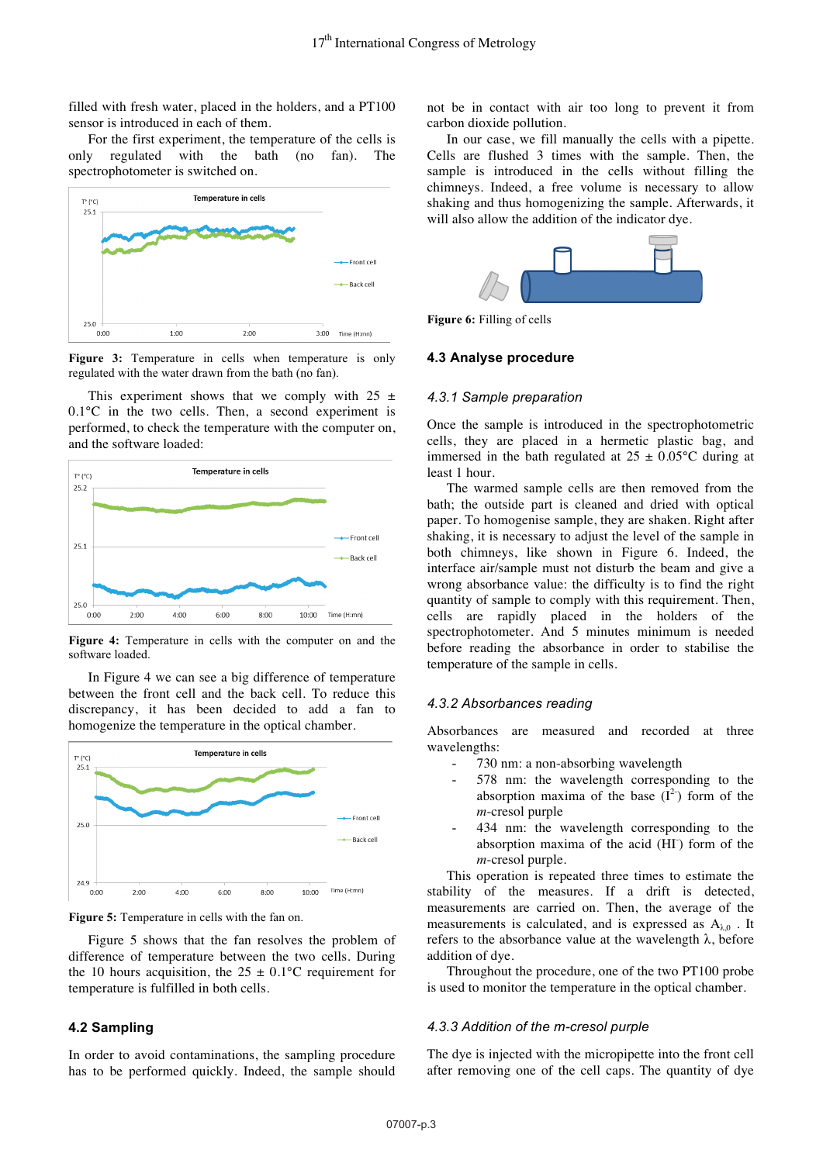filled with fresh water, placed in the holders, and a PT100 sensor is introduced in each of them.

For the first experiment, the temperature of the cells is only regulated with the bath (no fan). The spectrophotometer is switched on.



Figure 3: Temperature in cells when temperature is only regulated with the water drawn from the bath (no fan).

This experiment shows that we comply with  $25 \pm$ 0.1°C in the two cells. Then, a second experiment is performed, to check the temperature with the computer on, and the software loaded:



Figure 4: Temperature in cells with the computer on and the software loaded.

In Figure 4 we can see a big difference of temperature between the front cell and the back cell. To reduce this discrepancy, it has been decided to add a fan to homogenize the temperature in the optical chamber.



**Figure 5:** Temperature in cells with the fan on.

Figure 5 shows that the fan resolves the problem of difference of temperature between the two cells. During the 10 hours acquisition, the  $25 \pm 0.1$ °C requirement for temperature is fulfilled in both cells.

### **4.2 Sampling**

In order to avoid contaminations, the sampling procedure has to be performed quickly. Indeed, the sample should

not be in contact with air too long to prevent it from carbon dioxide pollution.

In our case, we fill manually the cells with a pipette. Cells are flushed 3 times with the sample. Then, the sample is introduced in the cells without filling the chimneys. Indeed, a free volume is necessary to allow shaking and thus homogenizing the sample. Afterwards, it will also allow the addition of the indicator dye.



**Figure 6:** Filling of cells

#### **4.3 Analyse procedure**

#### *4.3.1 Sample preparation*

Once the sample is introduced in the spectrophotometric cells, they are placed in a hermetic plastic bag, and immersed in the bath regulated at  $25 \pm 0.05$ °C during at least 1 hour.

The warmed sample cells are then removed from the bath; the outside part is cleaned and dried with optical paper. To homogenise sample, they are shaken. Right after shaking, it is necessary to adjust the level of the sample in both chimneys, like shown in Figure 6. Indeed, the interface air/sample must not disturb the beam and give a wrong absorbance value: the difficulty is to find the right quantity of sample to comply with this requirement. Then, cells are rapidly placed in the holders of the spectrophotometer. And 5 minutes minimum is needed before reading the absorbance in order to stabilise the temperature of the sample in cells.

#### *4.3.2 Absorbances reading*

Absorbances are measured and recorded at three wavelengths:

- 730 nm: a non-absorbing wavelength
- 578 nm: the wavelength corresponding to the absorption maxima of the base  $(I^2)$  form of the *m*-cresol purple
- 434 nm: the wavelength corresponding to the absorption maxima of the acid (HI<sup>-</sup>) form of the *m*-cresol purple.

This operation is repeated three times to estimate the stability of the measures. If a drift is detected, measurements are carried on. Then, the average of the measurements is calculated, and is expressed as  $A_{\lambda,0}$ . It refers to the absorbance value at the wavelength λ, before addition of dye.

Throughout the procedure, one of the two PT100 probe is used to monitor the temperature in the optical chamber.

#### *4.3.3 Addition of the m-cresol purple*

The dye is injected with the micropipette into the front cell after removing one of the cell caps. The quantity of dye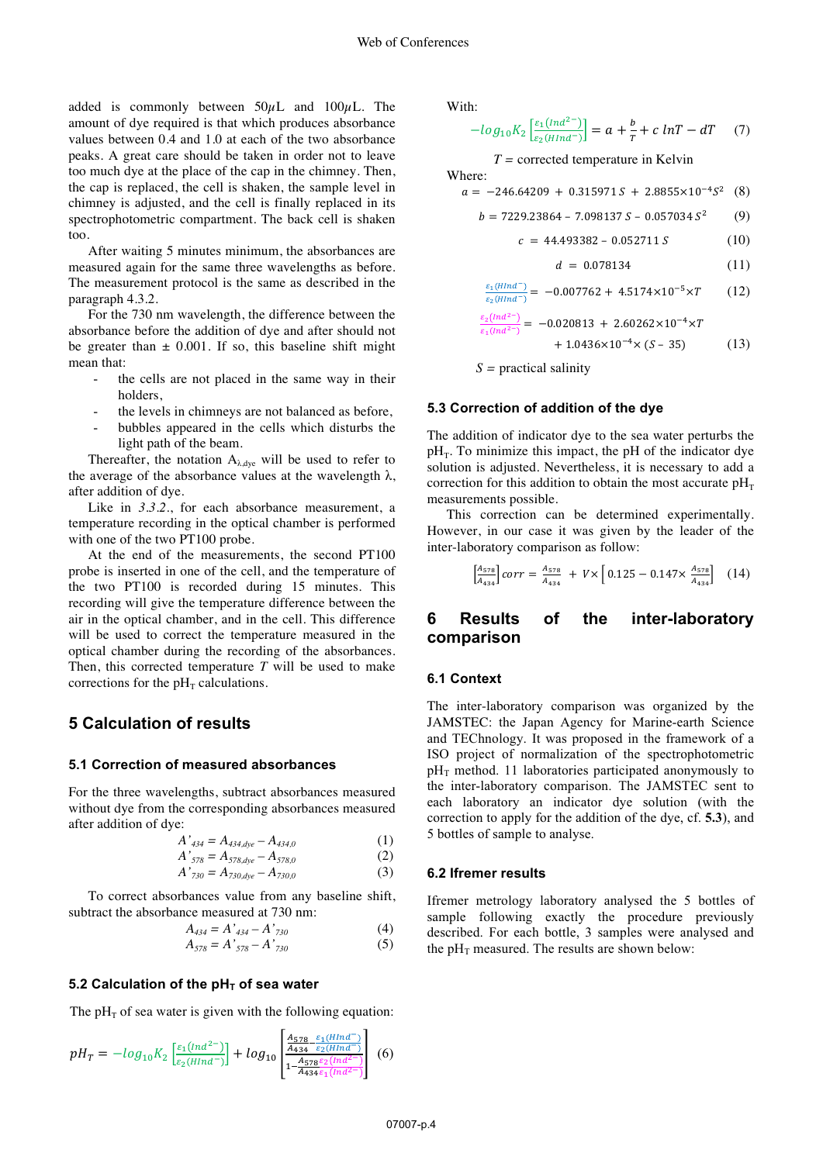added is commonly between  $50\mu$ L and  $100\mu$ L. The amount of dye required is that which produces absorbance values between 0.4 and 1.0 at each of the two absorbance peaks. A great care should be taken in order not to leave too much dye at the place of the cap in the chimney. Then, the cap is replaced, the cell is shaken, the sample level in chimney is adjusted, and the cell is finally replaced in its spectrophotometric compartment. The back cell is shaken too.

After waiting 5 minutes minimum, the absorbances are measured again for the same three wavelengths as before. The measurement protocol is the same as described in the paragraph 4.3.2.

For the 730 nm wavelength, the difference between the absorbance before the addition of dye and after should not be greater than  $\pm$  0.001. If so, this baseline shift might mean that:

- the cells are not placed in the same way in their holders,
- the levels in chimneys are not balanced as before,
- bubbles appeared in the cells which disturbs the light path of the beam.

Thereafter, the notation  $A_{\lambda, dye}$  will be used to refer to the average of the absorbance values at the wavelength  $\lambda$ , after addition of dye.

Like in 3.3.2., for each absorbance measurement, a temperature recording in the optical chamber is performed with one of the two PT100 probe.

At the end of the measurements, the second PT100 probe is inserted in one of the cell, and the temperature of the two PT100 is recorded during 15 minutes. This recording will give the temperature difference between the air in the optical chamber, and in the cell. This difference will be used to correct the temperature measured in the optical chamber during the recording of the absorbances. Then, this corrected temperature *T* will be used to make corrections for the  $pH<sub>T</sub>$  calculations.

## **5 Calculation of results**

#### **5.1 Correction of measured absorbances**

For the three wavelengths, subtract absorbances measured without dye from the corresponding absorbances measured after addition of dye:

$$
A'_{434} = A_{434, \text{dye}} - A_{434,0} \tag{1}
$$

$$
A'_{578} = A_{578, dye} - A_{578, 0}
$$
 (2)

$$
A'_{730} = A_{730, dye} - A_{730,0}
$$
 (3)

To correct absorbances value from any baseline shift, subtract the absorbance measured at 730 nm:

$$
A_{434} = A'_{434} - A'_{730} \tag{4}
$$

$$
A_{578} = A'_{578} - A'_{730} \tag{5}
$$

#### 5.2 Calculation of the pH<sub>T</sub> of sea water

The  $pH<sub>T</sub>$  of sea water is given with the following equation:

$$
pH_T = -\log_{10} K_2 \left[ \frac{\varepsilon_1 (nnd^{-2})}{\varepsilon_2 (Hind^-)} \right] + \log_{10} \left[ \frac{\frac{A_{578}}{A_{434}} \frac{\varepsilon_1 (HInd^-)}{\varepsilon_2 (Hind^-)}}{1 - \frac{A_{578} \varepsilon_2 (nnd^{-2})}{A_{434} \varepsilon_1 (nnd^{-2})}} \right] \tag{6}
$$

With:

$$
-log_{10}K_2\left[\frac{\varepsilon_1(nad^{-2})}{\varepsilon_2(Hind^-)}\right] = a + \frac{b}{T} + c \ln T - dT \quad (7)
$$

*T =* corrected temperature in Kelvin

Where:

 $a = -246.64209 + 0.315971 S + 2.8855 \times 10^{-4} S^2$  (8)

$$
b = 7229.23864 - 7.098137 S - 0.057034 S^2 \tag{9}
$$

$$
c = 44.493382 - 0.052711 S \tag{10}
$$

$$
d = 0.078134 \tag{11}
$$

$$
\frac{\varepsilon_1(HInd^-)}{\varepsilon_2(HInd^-)} = -0.007762 + 4.5174 \times 10^{-5} \times T \tag{12}
$$

$$
\frac{\varepsilon_2(Ind^{2-})}{\varepsilon_1(Ind^{2-})} = -0.020813 + 2.60262 \times 10^{-4} \times T \n+ 1.0436 \times 10^{-4} \times (S - 35)
$$
\n(13)

 *S =* practical salinity

#### **5.3 Correction of addition of the dye**

The addition of indicator dye to the sea water perturbs the  $pH_T$ . To minimize this impact, the pH of the indicator dye solution is adjusted. Nevertheless, it is necessary to add a correction for this addition to obtain the most accurate  $pH<sub>T</sub>$ measurements possible.

This correction can be determined experimentally. However, in our case it was given by the leader of the inter-laboratory comparison as follow:

$$
\left[\frac{A_{578}}{A_{434}}\right] corr = \frac{A_{578}}{A_{434}} + V \times \left[0.125 - 0.147 \times \frac{A_{578}}{A_{434}}\right] \tag{14}
$$

## **6 Results of the inter-laboratory comparison**

#### **6.1 Context**

The inter-laboratory comparison was organized by the JAMSTEC: the Japan Agency for Marine-earth Science and TEChnology. It was proposed in the framework of a ISO project of normalization of the spectrophotometric  $pH<sub>T</sub>$  method. 11 laboratories participated anonymously to the inter-laboratory comparison. The JAMSTEC sent to each laboratory an indicator dye solution (with the correction to apply for the addition of the dye, cf. **5.3**), and 5 bottles of sample to analyse.

#### **6.2 Ifremer results**

Ifremer metrology laboratory analysed the 5 bottles of sample following exactly the procedure previously described. For each bottle, 3 samples were analysed and the  $pH_T$  measured. The results are shown below: